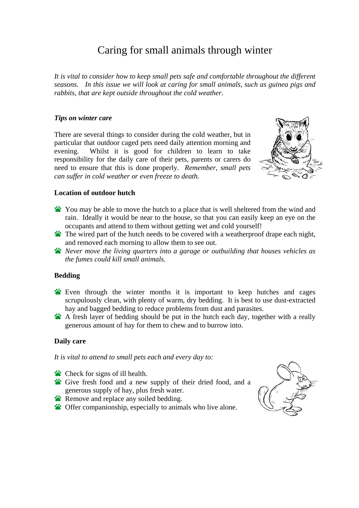# Caring for small animals through winter

*It is vital to consider how to keep small pets safe and comfortable throughout the different seasons. In this issue we will look at caring for small animals, such as guinea pigs and rabbits, that are kept outside throughout the cold weather.* 

### *Tips on winter care*

There are several things to consider during the cold weather, but in particular that outdoor caged pets need daily attention morning and evening. Whilst it is good for children to learn to take responsibility for the daily care of their pets, parents or carers do need to ensure that this is done properly*. Remember, small pets can suffer in cold weather or even freeze to death.* 



### **Location of outdoor hutch**

- You may be able to move the hutch to a place that is well sheltered from the wind and rain. Ideally it would be near to the house, so that you can easily keep an eye on the occupants and attend to them without getting wet and cold yourself!
- The wired part of the hutch needs to be covered with a weatherproof drape each night, and removed each morning to allow them to see out.
- *Never move the living quarters into a garage or outbuilding that houses vehicles as the fumes could kill small animals.*

### **Bedding**

- Even through the winter months it is important to keep hutches and cages scrupulously clean, with plenty of warm, dry bedding. It is best to use dust-extracted hay and bagged bedding to reduce problems from dust and parasites.
- A fresh layer of bedding should be put in the hutch each day, together with a really generous amount of hay for them to chew and to burrow into.

## **Daily care**

*It is vital to attend to small pets each and every day to:*

- Check for signs of ill health.
- Give fresh food and a new supply of their dried food, and a generous supply of hay, plus fresh water.
- **Remove and replace any soiled bedding.**
- **S**: Offer companionship, especially to animals who live alone.